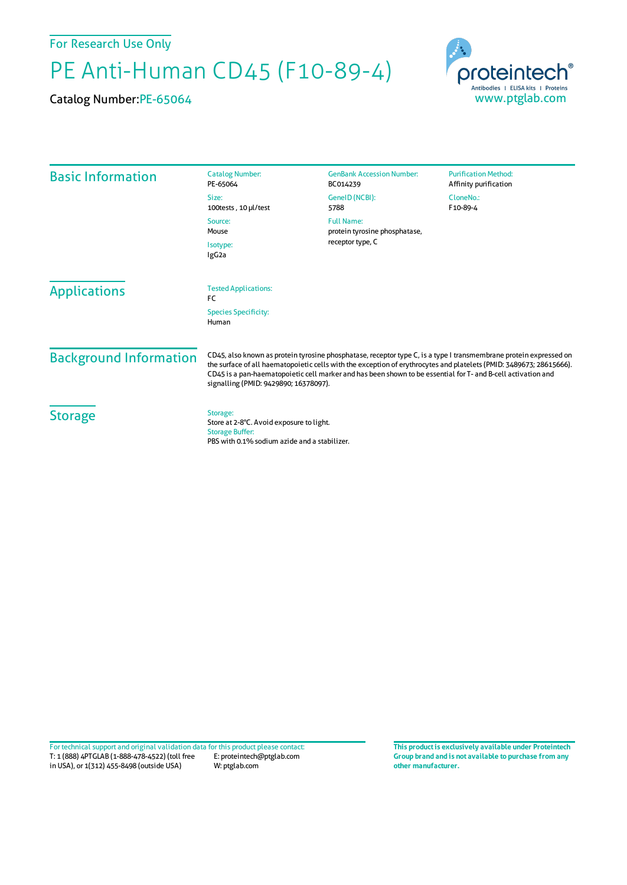## For Research Use Only

## PE Anti-Human CD45 (F10-89-4)

Catalog Number:PE-65064



| <b>Basic Information</b>      | <b>Catalog Number:</b><br>PE-65064                                                                                                                                                                                                                                                                                                                                                                | <b>GenBank Accession Number:</b><br>BC014239                           | <b>Purification Method:</b><br>Affinity purification |
|-------------------------------|---------------------------------------------------------------------------------------------------------------------------------------------------------------------------------------------------------------------------------------------------------------------------------------------------------------------------------------------------------------------------------------------------|------------------------------------------------------------------------|------------------------------------------------------|
|                               | Size:<br>100tests, 10 µl/test                                                                                                                                                                                                                                                                                                                                                                     | GeneID (NCBI):<br>5788                                                 | CloneNo.:<br>F10-89-4                                |
|                               | Source:<br>Mouse<br>Isotype:<br>IgG <sub>2a</sub>                                                                                                                                                                                                                                                                                                                                                 | <b>Full Name:</b><br>protein tyrosine phosphatase,<br>receptor type, C |                                                      |
|                               |                                                                                                                                                                                                                                                                                                                                                                                                   |                                                                        |                                                      |
| <b>Applications</b>           | <b>Tested Applications:</b><br><b>FC</b>                                                                                                                                                                                                                                                                                                                                                          |                                                                        |                                                      |
|                               | <b>Species Specificity:</b><br>Human                                                                                                                                                                                                                                                                                                                                                              |                                                                        |                                                      |
| <b>Background Information</b> | CD45, also known as protein tyrosine phosphatase, receptor type C, is a type I transmembrane protein expressed on<br>the surface of all haematopoietic cells with the exception of erythrocytes and platelets (PMID: 3489673; 28615666).<br>CD45 is a pan-haematopoietic cell marker and has been shown to be essential for T- and B-cell activation and<br>signalling (PMID: 9429890; 16378097). |                                                                        |                                                      |
| <b>Storage</b>                | Storage:<br>Store at 2-8°C. Avoid exposure to light.<br><b>Storage Buffer:</b><br>PBS with 0.1% sodium azide and a stabilizer.                                                                                                                                                                                                                                                                    |                                                                        |                                                      |

**Group brand and is not available to purchase from any other manufacturer.**